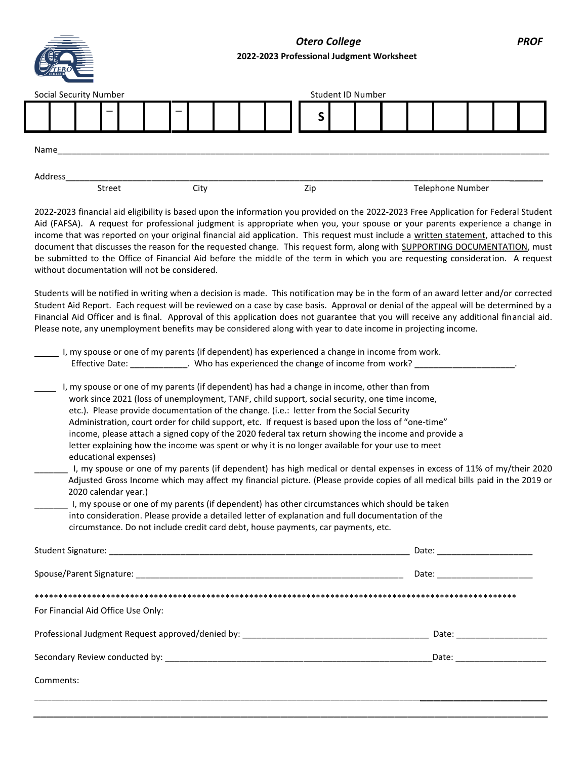*Otero College PROF* **2022-2023 Professional Judgment Worksheet**

| <b>TERO</b> |
|-------------|
|             |

| <b>Social Security Number</b> |                          |                          |  |     | Student ID Number |  |  |                  |  |  |
|-------------------------------|--------------------------|--------------------------|--|-----|-------------------|--|--|------------------|--|--|
|                               | $\overline{\phantom{0}}$ | $\overline{\phantom{0}}$ |  |     | ∼                 |  |  |                  |  |  |
| Name                          |                          |                          |  |     |                   |  |  |                  |  |  |
| Address                       | Street                   | City                     |  | Zip |                   |  |  | Telephone Number |  |  |

2022-2023 financial aid eligibility is based upon the information you provided on the 2022-2023 Free Application for Federal Student Aid (FAFSA). A request for professional judgment is appropriate when you, your spouse or your parents experience a change in income that was reported on your original financial aid application. This request must include a written statement, attached to this document that discusses the reason for the requested change. This request form, along with SUPPORTING DOCUMENTATION, must be submitted to the Office of Financial Aid before the middle of the term in which you are requesting consideration. A request without documentation will not be considered.

Students will be notified in writing when a decision is made. This notification may be in the form of an award letter and/or corrected Student Aid Report. Each request will be reviewed on a case by case basis. Approval or denial of the appeal will be determined by a Financial Aid Officer and is final. Approval of this application does not guarantee that you will receive any additional financial aid. Please note, any unemployment benefits may be considered along with year to date income in projecting income.

|                 | I, my spouse or one of my parents (if dependent) has experienced a change in income from work. |
|-----------------|------------------------------------------------------------------------------------------------|
| Effective Date: | . Who has experienced the change of income from work?                                          |
|                 |                                                                                                |

- I, my spouse or one of my parents (if dependent) has had a change in income, other than from work since 2021 (loss of unemployment, TANF, child support, social security, one time income, etc.). Please provide documentation of the change. (i.e.: letter from the Social Security Administration, court order for child support, etc. If request is based upon the loss of "one-time" income, please attach a signed copy of the 2020 federal tax return showing the income and provide a letter explaining how the income was spent or why it is no longer available for your use to meet educational expenses)
- \_\_\_\_\_\_\_ I, my spouse or one of my parents (if dependent) has high medical or dental expenses in excess of 11% of my/their 2020 Adjusted Gross Income which may affect my financial picture. (Please provide copies of all medical bills paid in the 2019 or 2020 calendar year.)
- I, my spouse or one of my parents (if dependent) has other circumstances which should be taken into consideration. Please provide a detailed letter of explanation and full documentation of the circumstance. Do not include credit card debt, house payments, car payments, etc.

|                                                                                  | Date: _________________________ |
|----------------------------------------------------------------------------------|---------------------------------|
|                                                                                  | Date: ________________          |
| For Financial Aid Office Use Only:                                               |                                 |
| Professional Judgment Request approved/denied by: ______________________________ | Date: __________                |
|                                                                                  | Date: _______________           |
| Comments:                                                                        |                                 |
|                                                                                  |                                 |

*\_\_\_\_\_\_\_\_\_\_\_\_\_\_\_\_\_\_\_\_\_\_\_\_\_\_\_\_\_\_\_\_\_\_\_\_\_\_\_\_\_\_\_\_\_\_\_\_\_\_\_\_\_\_\_\_\_\_\_\_\_\_\_\_\_\_\_\_\_\_\_\_\_\_\_\_\_*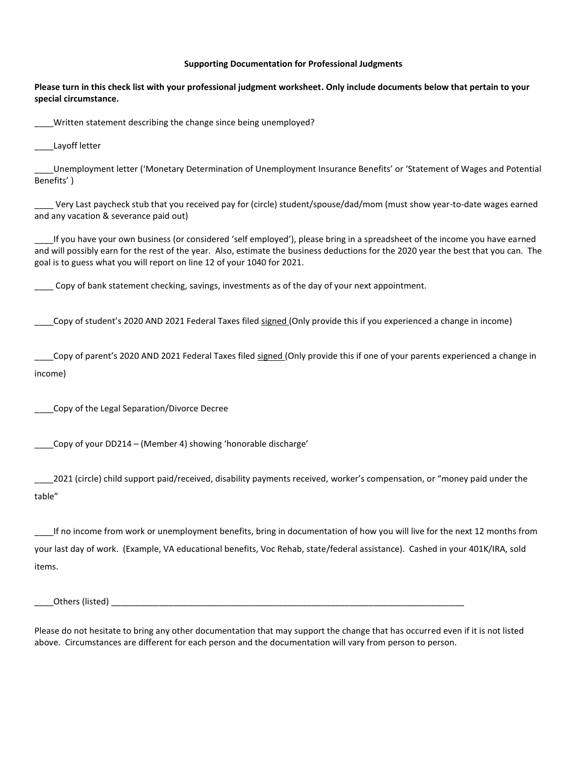## **Supporting Documentation for Professional Judgments**

**Please turn in this check list with your professional judgment worksheet. Only include documents below that pertain to your special circumstance.** 

Written statement describing the change since being unemployed?

\_\_\_\_Layoff letter

\_\_\_\_Unemployment letter ('Monetary Determination of Unemployment Insurance Benefits' or 'Statement of Wages and Potential Benefits' )

\_\_\_\_ Very Last paycheck stub that you received pay for (circle) student/spouse/dad/mom (must show year-to-date wages earned and any vacation & severance paid out)

\_\_\_\_If you have your own business (or considered 'self employed'), please bring in a spreadsheet of the income you have earned and will possibly earn for the rest of the year. Also, estimate the business deductions for the 2020 year the best that you can. The goal is to guess what you will report on line 12 of your 1040 for 2021.

Copy of bank statement checking, savings, investments as of the day of your next appointment.

\_\_\_\_Copy of student's 2020 AND 2021 Federal Taxes filed signed (Only provide this if you experienced a change in income)

\_\_\_\_Copy of parent's 2020 AND 2021 Federal Taxes filed signed (Only provide this if one of your parents experienced a change in income)

\_\_\_\_Copy of the Legal Separation/Divorce Decree

\_\_\_\_Copy of your DD214 – (Member 4) showing 'honorable discharge'

2021 (circle) child support paid/received, disability payments received, worker's compensation, or "money paid under the table"

If no income from work or unemployment benefits, bring in documentation of how you will live for the next 12 months from your last day of work. (Example, VA educational benefits, Voc Rehab, state/federal assistance). Cashed in your 401K/IRA, sold items.

\_\_\_\_Others (listed) \_\_\_\_\_\_\_\_\_\_\_\_\_\_\_\_\_\_\_\_\_\_\_\_\_\_\_\_\_\_\_\_\_\_\_\_\_\_\_\_\_\_\_\_\_\_\_\_\_\_\_\_\_\_\_\_\_\_\_\_\_\_\_\_\_\_\_\_\_\_\_\_\_\_

Please do not hesitate to bring any other documentation that may support the change that has occurred even if it is not listed above. Circumstances are different for each person and the documentation will vary from person to person.